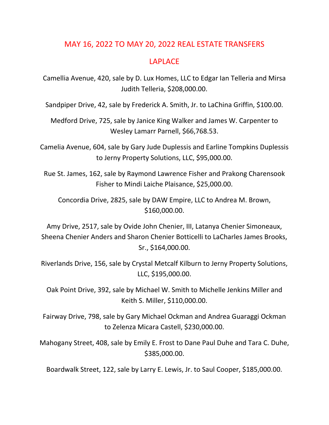## MAY 16, 2022 TO MAY 20, 2022 REAL ESTATE TRANSFERS

## LAPLACE

Camellia Avenue, 420, sale by D. Lux Homes, LLC to Edgar Ian Telleria and Mirsa Judith Telleria, \$208,000.00.

Sandpiper Drive, 42, sale by Frederick A. Smith, Jr. to LaChina Griffin, \$100.00.

Medford Drive, 725, sale by Janice King Walker and James W. Carpenter to Wesley Lamarr Parnell, \$66,768.53.

Camelia Avenue, 604, sale by Gary Jude Duplessis and Earline Tompkins Duplessis to Jerny Property Solutions, LLC, \$95,000.00.

Rue St. James, 162, sale by Raymond Lawrence Fisher and Prakong Charensook Fisher to Mindi Laiche Plaisance, \$25,000.00.

Concordia Drive, 2825, sale by DAW Empire, LLC to Andrea M. Brown, \$160,000.00.

Amy Drive, 2517, sale by Ovide John Chenier, III, Latanya Chenier Simoneaux, Sheena Chenier Anders and Sharon Chenier Botticelli to LaCharles James Brooks, Sr., \$164,000.00.

Riverlands Drive, 156, sale by Crystal Metcalf Kilburn to Jerny Property Solutions, LLC, \$195,000.00.

Oak Point Drive, 392, sale by Michael W. Smith to Michelle Jenkins Miller and Keith S. Miller, \$110,000.00.

Fairway Drive, 798, sale by Gary Michael Ockman and Andrea Guaraggi Ockman to Zelenza Micara Castell, \$230,000.00.

Mahogany Street, 408, sale by Emily E. Frost to Dane Paul Duhe and Tara C. Duhe, \$385,000.00.

Boardwalk Street, 122, sale by Larry E. Lewis, Jr. to Saul Cooper, \$185,000.00.